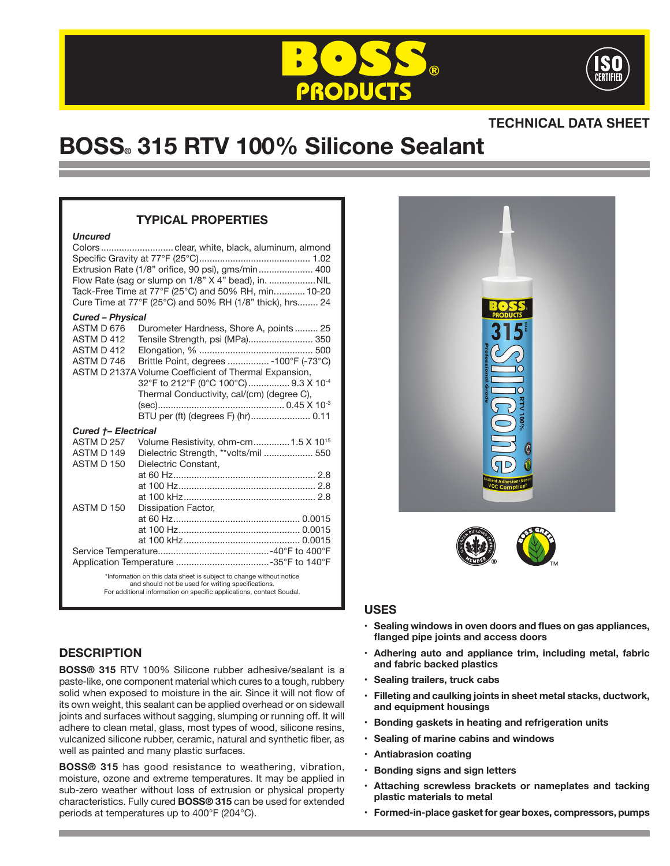



# **TECHNICAL DATA SHEET**

# **BOSS® 315 RTV 100% Silicone Sealant**

# **TYPICAL PROPERTIES**

#### *Uncured*

| Extrusion Rate (1/8" orifice, 90 psi), gms/min 400<br>Flow Rate (sag or slump on 1/8" X 4" bead), in.  NIL<br>Tack-Free Time at 77°F (25°C) and 50% RH, min 10-20<br>Cure Time at 77°F (25°C) and 50% RH (1/8" thick), hrs 24 |                                                                                                                                                                               |
|-------------------------------------------------------------------------------------------------------------------------------------------------------------------------------------------------------------------------------|-------------------------------------------------------------------------------------------------------------------------------------------------------------------------------|
| <b>Cured - Physical</b>                                                                                                                                                                                                       |                                                                                                                                                                               |
| ASTM D 676<br>ASTM D 412<br>ASTM D 412<br>ASTM D 746                                                                                                                                                                          | Durometer Hardness, Shore A, points 25<br>Tensile Strength, psi (MPa) 350<br>Brittle Point, degrees  - 100°F (-73°C)<br>ASTM D 2137A Volume Coefficient of Thermal Expansion, |
|                                                                                                                                                                                                                               | 32°F to 212°F (0°C 100°C)  9.3 X 10-4<br>Thermal Conductivity, cal/(cm) (degree C),                                                                                           |
|                                                                                                                                                                                                                               |                                                                                                                                                                               |
| <b>Cured +- Electrical</b>                                                                                                                                                                                                    |                                                                                                                                                                               |
| ASTM D 257                                                                                                                                                                                                                    | Volume Resistivity, ohm-cm 1.5 X 10 <sup>15</sup>                                                                                                                             |
| ASTM D 149                                                                                                                                                                                                                    | Dielectric Strength, **volts/mil  550                                                                                                                                         |
| ASTM D 150                                                                                                                                                                                                                    | Dielectric Constant,                                                                                                                                                          |
|                                                                                                                                                                                                                               |                                                                                                                                                                               |
|                                                                                                                                                                                                                               |                                                                                                                                                                               |
|                                                                                                                                                                                                                               |                                                                                                                                                                               |
| ASTM D 150                                                                                                                                                                                                                    | Dissipation Factor,                                                                                                                                                           |
|                                                                                                                                                                                                                               |                                                                                                                                                                               |
|                                                                                                                                                                                                                               |                                                                                                                                                                               |
|                                                                                                                                                                                                                               |                                                                                                                                                                               |
|                                                                                                                                                                                                                               |                                                                                                                                                                               |
| *Information on this data sheet is subject to change without notice                                                                                                                                                           |                                                                                                                                                                               |
| and should not be used for writing specifications.<br>For additional information on specific applications, contact Soudal.                                                                                                    |                                                                                                                                                                               |



# **USES**

- **• Sealing windows in oven doors and flues on gas appliances, flanged pipe joints and access doors**
- **• Adhering auto and appliance trim, including metal, fabric and fabric backed plastics**
- **• Sealing trailers, truck cabs**
- **• Filleting and caulking joints in sheet metal stacks, ductwork, and equipment housings**
- **• Bonding gaskets in heating and refrigeration units**
- **• Sealing of marine cabins and windows**
- **• Antiabrasion coating**
- **• Bonding signs and sign letters**
- **• Attaching screwless brackets or nameplates and tacking plastic materials to metal**
- **• Formed-in-place gasket for gear boxes, compressors, pumps**

# **DESCRIPTION**

**BOSS® 315** RTV 100% Silicone rubber adhesive/sealant is a paste-like, one component material which cures to a tough, rubbery solid when exposed to moisture in the air. Since it will not flow of its own weight, this sealant can be applied overhead or on sidewall joints and surfaces without sagging, slumping or running off. It will adhere to clean metal, glass, most types of wood, silicone resins, vulcanized silicone rubber, ceramic, natural and synthetic fiber, as well as painted and many plastic surfaces.

**BOSS® 315** has good resistance to weathering, vibration, moisture, ozone and extreme temperatures. It may be applied in sub-zero weather without loss of extrusion or physical property characteristics. Fully cured **BOSS® 315** can be used for extended periods at temperatures up to 400°F (204°C).